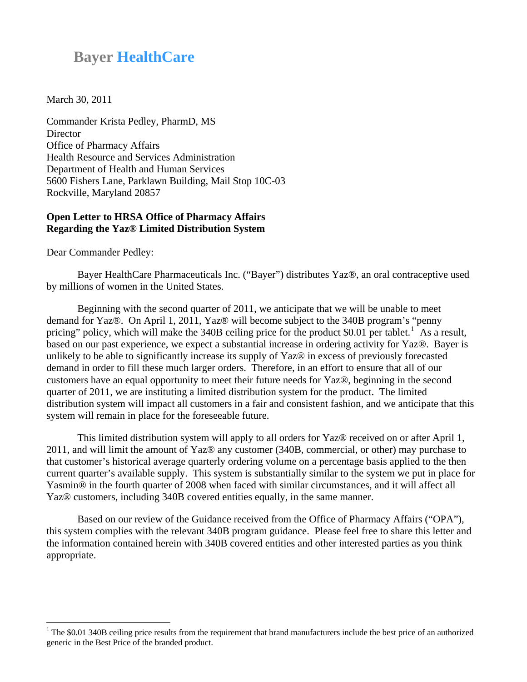## **Bayer HealthCare**

March 30, 2011

<span id="page-0-0"></span>Commander Krista Pedley, PharmD, MS **Director** Office of Pharmacy Affairs Health Resource and Services Administration Department of Health and Human Services 5600 Fishers Lane, Parklawn Building, Mail Stop 10C-03 Rockville, Maryland 20857

## **Open Letter to HRSA Office of Pharmacy Affairs Regarding the Yaz® Limited Distribution System**

Dear Commander Pedley:

 $\overline{a}$ 

 Bayer HealthCare Pharmaceuticals Inc. ("Bayer") distributes Yaz®, an oral contraceptive used by millions of women in the United States.

Beginning with the second quarter of 2011, we anticipate that we will be unable to meet demand for Yaz®. On April 1, 2011, Yaz® will become subject to the 340B program's "penny pricing" policy, which will make the 340B ceiling price for the product \$0.0[1](#page-0-0) per tablet.<sup>1</sup> As a result, based on our past experience, we expect a substantial increase in ordering activity for Yaz®. Bayer is unlikely to be able to significantly increase its supply of Yaz® in excess of previously forecasted demand in order to fill these much larger orders. Therefore, in an effort to ensure that all of our customers have an equal opportunity to meet their future needs for Yaz®, beginning in the second quarter of 2011, we are instituting a limited distribution system for the product. The limited distribution system will impact all customers in a fair and consistent fashion, and we anticipate that this system will remain in place for the foreseeable future.

This limited distribution system will apply to all orders for Yaz® received on or after April 1, 2011, and will limit the amount of Yaz® any customer (340B, commercial, or other) may purchase to that customer's historical average quarterly ordering volume on a percentage basis applied to the then current quarter's available supply. This system is substantially similar to the system we put in place for Yasmin® in the fourth quarter of 2008 when faced with similar circumstances, and it will affect all Yaz® customers, including 340B covered entities equally, in the same manner.

Based on our review of the Guidance received from the Office of Pharmacy Affairs ("OPA"), this system complies with the relevant 340B program guidance. Please feel free to share this letter and the information contained herein with 340B covered entities and other interested parties as you think appropriate.

 $1$  The \$0.01 340B ceiling price results from the requirement that brand manufacturers include the best price of an authorized generic in the Best Price of the branded product.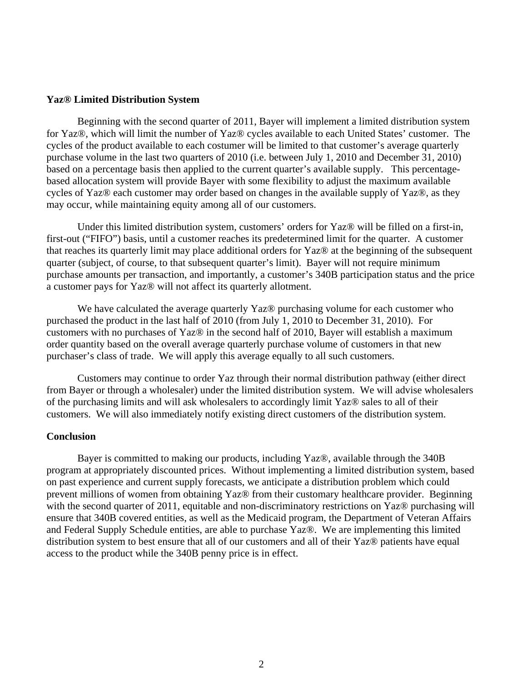## **Yaz® Limited Distribution System**

Beginning with the second quarter of 2011, Bayer will implement a limited distribution system for Yaz®, which will limit the number of Yaz® cycles available to each United States' customer. The cycles of the product available to each costumer will be limited to that customer's average quarterly purchase volume in the last two quarters of 2010 (i.e. between July 1, 2010 and December 31, 2010) based on a percentage basis then applied to the current quarter's available supply. This percentagebased allocation system will provide Bayer with some flexibility to adjust the maximum available cycles of Yaz® each customer may order based on changes in the available supply of Yaz®, as they may occur, while maintaining equity among all of our customers.

Under this limited distribution system, customers' orders for Yaz® will be filled on a first-in, first-out ("FIFO") basis, until a customer reaches its predetermined limit for the quarter. A customer that reaches its quarterly limit may place additional orders for Yaz® at the beginning of the subsequent quarter (subject, of course, to that subsequent quarter's limit). Bayer will not require minimum purchase amounts per transaction, and importantly, a customer's 340B participation status and the price a customer pays for Yaz® will not affect its quarterly allotment.

We have calculated the average quarterly Yaz<sup>®</sup> purchasing volume for each customer who purchased the product in the last half of 2010 (from July 1, 2010 to December 31, 2010). For customers with no purchases of Yaz® in the second half of 2010, Bayer will establish a maximum order quantity based on the overall average quarterly purchase volume of customers in that new purchaser's class of trade. We will apply this average equally to all such customers.

Customers may continue to order Yaz through their normal distribution pathway (either direct from Bayer or through a wholesaler) under the limited distribution system. We will advise wholesalers of the purchasing limits and will ask wholesalers to accordingly limit Yaz® sales to all of their customers. We will also immediately notify existing direct customers of the distribution system.

## **Conclusion**

Bayer is committed to making our products, including Yaz®, available through the 340B program at appropriately discounted prices. Without implementing a limited distribution system, based on past experience and current supply forecasts, we anticipate a distribution problem which could prevent millions of women from obtaining Yaz® from their customary healthcare provider. Beginning with the second quarter of 2011, equitable and non-discriminatory restrictions on Yaz® purchasing will ensure that 340B covered entities, as well as the Medicaid program, the Department of Veteran Affairs and Federal Supply Schedule entities, are able to purchase Yaz®. We are implementing this limited distribution system to best ensure that all of our customers and all of their Yaz® patients have equal access to the product while the 340B penny price is in effect.